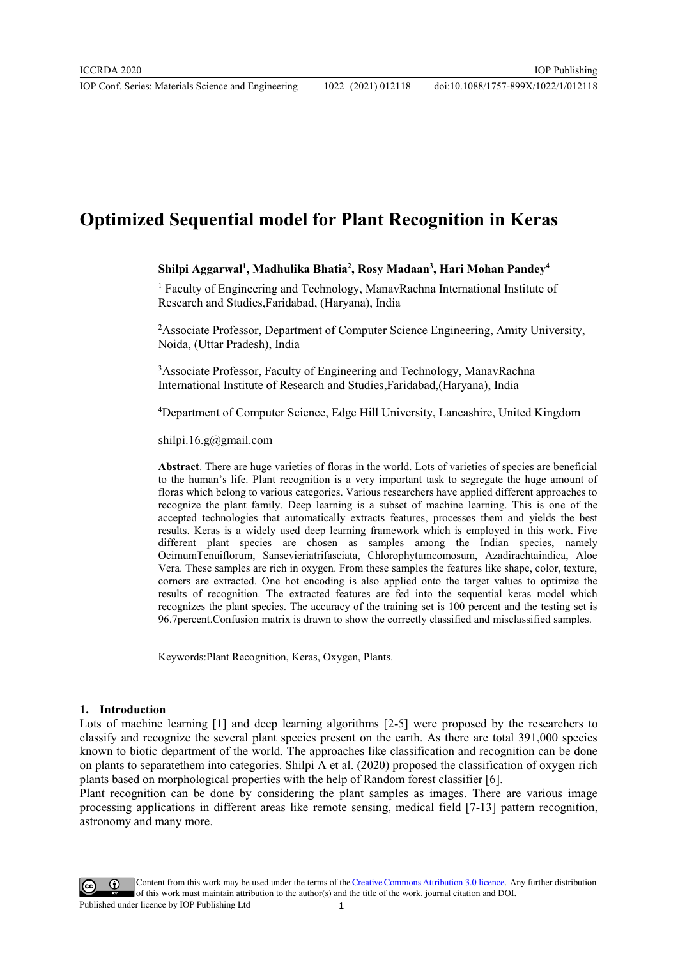# **Optimized Sequential model for Plant Recognition in Keras**

### **Shilpi Aggarwal1 , Madhulika Bhatia2 , Rosy Madaan3 , Hari Mohan Pandey4**

<sup>1</sup> Faculty of Engineering and Technology, ManavRachna International Institute of Research and Studies,Faridabad, (Haryana), India

<sup>2</sup> Associate Professor, Department of Computer Science Engineering, Amity University, Noida, (Uttar Pradesh), India

<sup>3</sup> Associate Professor, Faculty of Engineering and Technology, ManavRachna International Institute of Research and Studies,Faridabad,(Haryana), India

4 Department of Computer Science, Edge Hill University, Lancashire, United Kingdom

shilpi.16.g@gmail.com

**Abstract**. There are huge varieties of floras in the world. Lots of varieties of species are beneficial to the human's life. Plant recognition is a very important task to segregate the huge amount of floras which belong to various categories. Various researchers have applied different approaches to recognize the plant family. Deep learning is a subset of machine learning. This is one of the accepted technologies that automatically extracts features, processes them and yields the best results. Keras is a widely used deep learning framework which is employed in this work. Five different plant species are chosen as samples among the Indian species, namely OcimumTenuiflorum, Sansevieriatrifasciata, Chlorophytumcomosum, Azadirachtaindica, Aloe Vera. These samples are rich in oxygen. From these samples the features like shape, color, texture, corners are extracted. One hot encoding is also applied onto the target values to optimize the results of recognition. The extracted features are fed into the sequential keras model which recognizes the plant species. The accuracy of the training set is 100 percent and the testing set is 96.7percent.Confusion matrix is drawn to show the correctly classified and misclassified samples.

Keywords:Plant Recognition, Keras, Oxygen, Plants.

#### **1. Introduction**

Lots of machine learning [1] and deep learning algorithms [2-5] were proposed by the researchers to classify and recognize the several plant species present on the earth. As there are total 391,000 species known to biotic department of the world. The approaches like classification and recognition can be done on plants to separatethem into categories. Shilpi A et al. (2020) proposed the classification of oxygen rich plants based on morphological properties with the help of Random forest classifier [6].

Plant recognition can be done by considering the plant samples as images. There are various image processing applications in different areas like remote sensing, medical field [7-13] pattern recognition, astronomy and many more.

Content from this work may be used under the terms of theCreative Commons Attribution 3.0 licence. Any further distribution of this work must maintain attribution to the author(s) and the title of the work, journal citation and DOI. Published under licence by IOP Publishing Ltd 1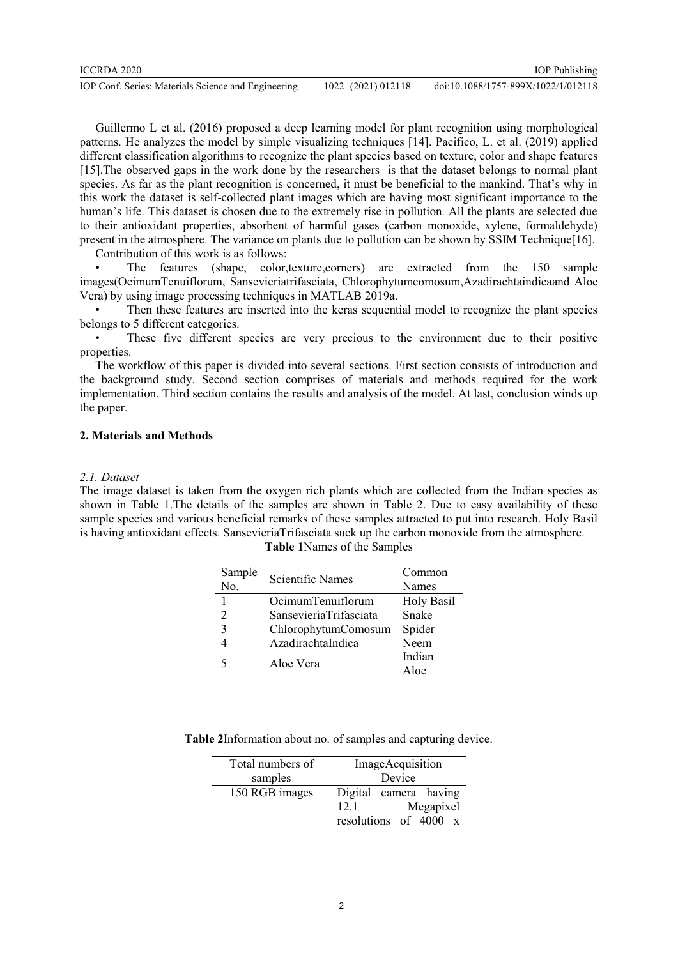Guillermo L et al. (2016) proposed a deep learning model for plant recognition using morphological patterns. He analyzes the model by simple visualizing techniques [14]. Pacifico, L. et al. (2019) applied different classification algorithms to recognize the plant species based on texture, color and shape features [15].The observed gaps in the work done by the researchers is that the dataset belongs to normal plant species. As far as the plant recognition is concerned, it must be beneficial to the mankind. That's why in this work the dataset is self-collected plant images which are having most significant importance to the human's life. This dataset is chosen due to the extremely rise in pollution. All the plants are selected due to their antioxidant properties, absorbent of harmful gases (carbon monoxide, xylene, formaldehyde) present in the atmosphere. The variance on plants due to pollution can be shown by SSIM Technique[16].

Contribution of this work is as follows:

• The features (shape, color,texture,corners) are extracted from the 150 sample images(OcimumTenuiflorum, Sansevieriatrifasciata, Chlorophytumcomosum,Azadirachtaindicaand Aloe Vera) by using image processing techniques in MATLAB 2019a.

• Then these features are inserted into the keras sequential model to recognize the plant species belongs to 5 different categories.

These five different species are very precious to the environment due to their positive properties.

The workflow of this paper is divided into several sections. First section consists of introduction and the background study. Second section comprises of materials and methods required for the work implementation. Third section contains the results and analysis of the model. At last, conclusion winds up the paper.

# **2. Materials and Methods**

### *2.1. Dataset*

The image dataset is taken from the oxygen rich plants which are collected from the Indian species as shown in Table 1.The details of the samples are shown in Table 2. Due to easy availability of these sample species and various beneficial remarks of these samples attracted to put into research. Holy Basil is having antioxidant effects. SansevieriaTrifasciata suck up the carbon monoxide from the atmosphere.

| Sample<br>No. | <b>Scientific Names</b> | Common<br><b>Names</b> |
|---------------|-------------------------|------------------------|
| $\mathbf{1}$  | OcimumTenuiflorum       | <b>Holy Basil</b>      |
| 2             | SansevieriaTrifasciata  | Snake                  |
| 3             | ChlorophytumComosum     | Spider                 |
|               | AzadirachtaIndica       | Neem                   |
| 5             | Aloe Vera               | Indian                 |
|               |                         | Aloe                   |

# **Table 1**Names of the Samples

**Table 2**Information about no. of samples and capturing device.

| Total numbers of | ImageAcquisition                    |  |
|------------------|-------------------------------------|--|
| samples          | Device                              |  |
| 150 RGB images   | Digital camera having               |  |
|                  | Megapixel<br>12.1                   |  |
|                  | resolutions of 4000<br>$\mathbf{x}$ |  |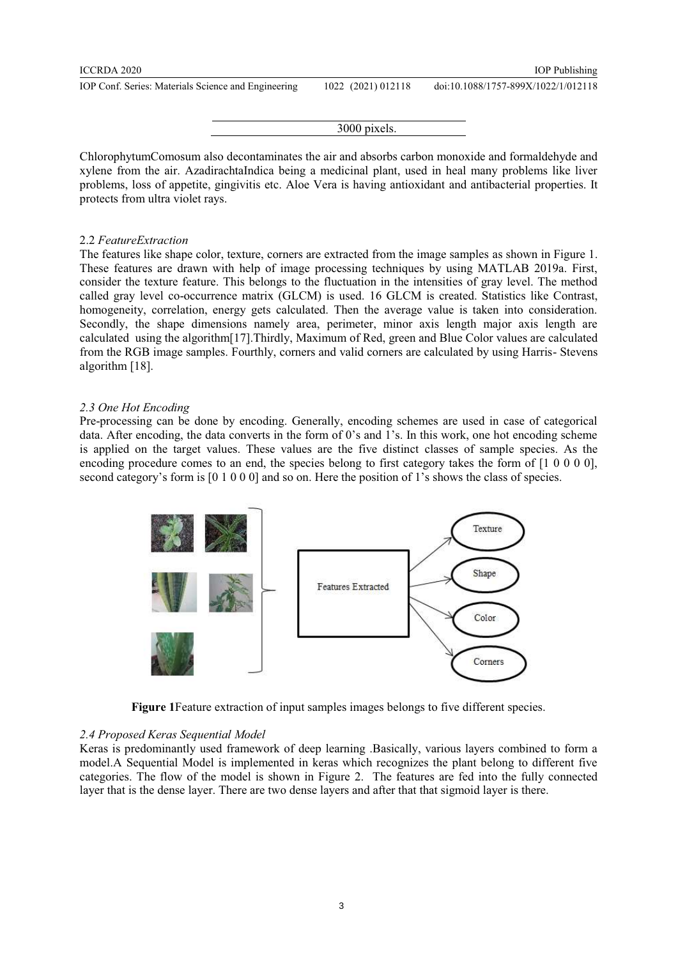#### doi:10.1088/1757-899X/1022/1/012118

3000 pixels.

ChlorophytumComosum also decontaminates the air and absorbs carbon monoxide and formaldehyde and xylene from the air. AzadirachtaIndica being a medicinal plant, used in heal many problems like liver problems, loss of appetite, gingivitis etc. Aloe Vera is having antioxidant and antibacterial properties. It protects from ultra violet rays.

#### 2.2 *FeatureExtraction*

The features like shape color, texture, corners are extracted from the image samples as shown in Figure 1. These features are drawn with help of image processing techniques by using MATLAB 2019a. First, consider the texture feature. This belongs to the fluctuation in the intensities of gray level. The method called gray level co-occurrence matrix (GLCM) is used. 16 GLCM is created. Statistics like Contrast, homogeneity, correlation, energy gets calculated. Then the average value is taken into consideration. Secondly, the shape dimensions namely area, perimeter, minor axis length major axis length are calculated using the algorithm[17].Thirdly, Maximum of Red, green and Blue Color values are calculated from the RGB image samples. Fourthly, corners and valid corners are calculated by using Harris- Stevens algorithm [18].

### *2.3 One Hot Encoding*

Pre-processing can be done by encoding. Generally, encoding schemes are used in case of categorical data. After encoding, the data converts in the form of 0's and 1's. In this work, one hot encoding scheme is applied on the target values. These values are the five distinct classes of sample species. As the encoding procedure comes to an end, the species belong to first category takes the form of  $[1\ 0\ 0\ 0\ 0]$ , second category's form is [0 1 0 0 0] and so on. Here the position of 1's shows the class of species.



**Figure 1**Feature extraction of input samples images belongs to five different species.

#### *2.4 Proposed Keras Sequential Model*

Keras is predominantly used framework of deep learning .Basically, various layers combined to form a model.A Sequential Model is implemented in keras which recognizes the plant belong to different five categories. The flow of the model is shown in Figure 2. The features are fed into the fully connected layer that is the dense layer. There are two dense layers and after that that sigmoid layer is there.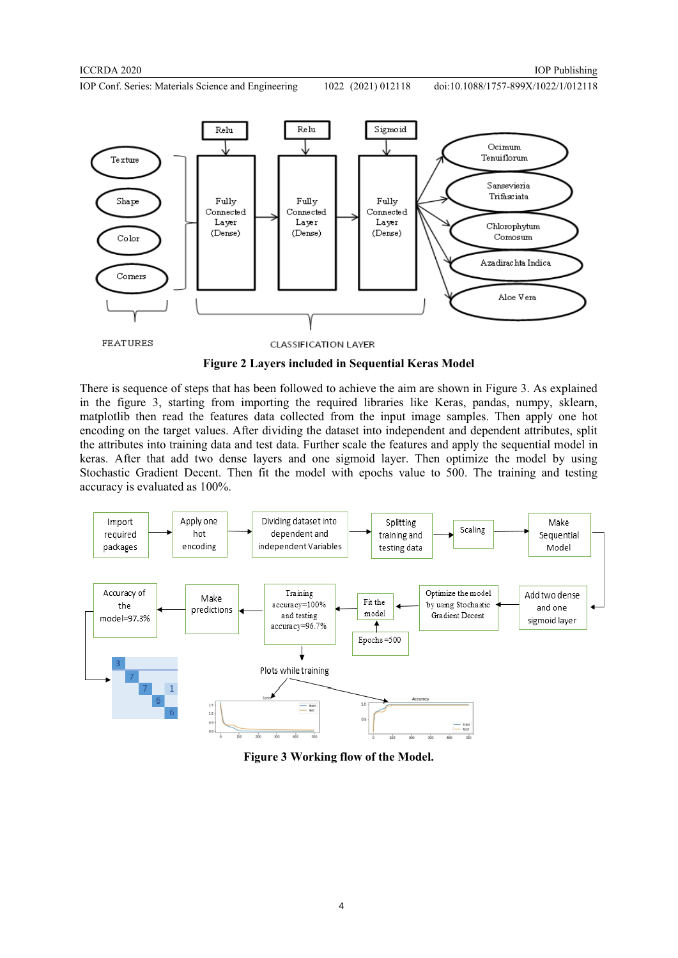doi:10.1088/1757-899X/1022/1/012118



**Figure 2 Layers included in Sequential Keras Model** 

There is sequence of steps that has been followed to achieve the aim are shown in Figure 3. As explained in the figure 3, starting from importing the required libraries like Keras, pandas, numpy, sklearn, matplotlib then read the features data collected from the input image samples. Then apply one hot encoding on the target values. After dividing the dataset into independent and dependent attributes, split the attributes into training data and test data. Further scale the features and apply the sequential model in keras. After that add two dense layers and one sigmoid layer. Then optimize the model by using Stochastic Gradient Decent. Then fit the model with epochs value to 500. The training and testing accuracy is evaluated as 100%.



**Figure 3 Working flow of the Model.**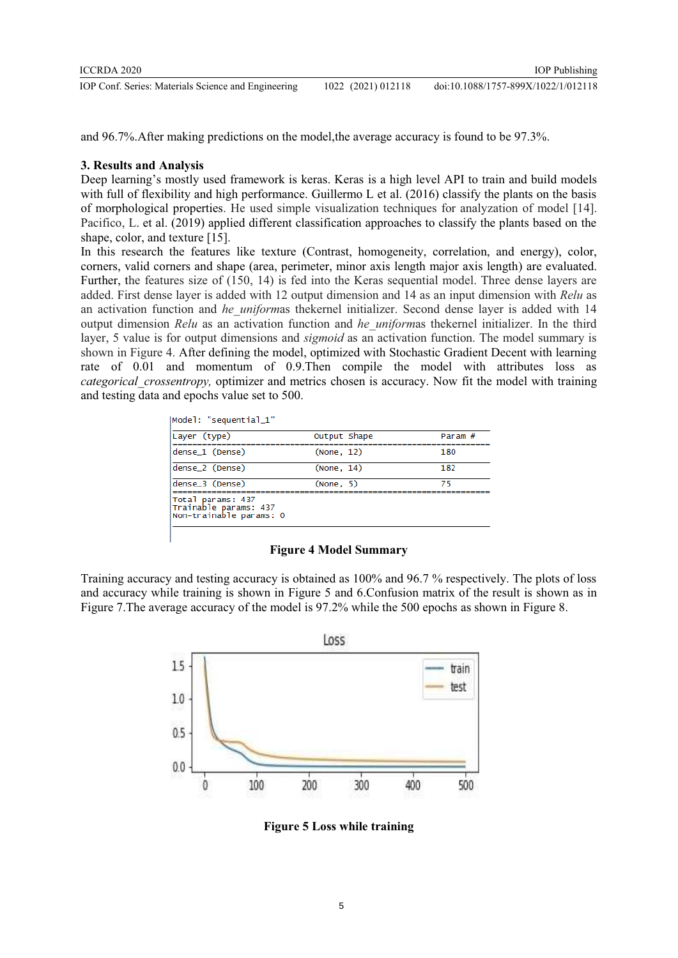| ICCRDA 2020                                         |                    | <b>IOP</b> Publishing               |
|-----------------------------------------------------|--------------------|-------------------------------------|
| IOP Conf. Series: Materials Science and Engineering | 1022 (2021) 012118 | doi:10.1088/1757-899X/1022/1/012118 |

and 96.7%.After making predictions on the model,the average accuracy is found to be 97.3%.

# **3. Results and Analysis**

Deep learning's mostly used framework is keras. Keras is a high level API to train and build models with full of flexibility and high performance. Guillermo L et al. (2016) classify the plants on the basis of morphological properties. He used simple visualization techniques for analyzation of model [14]. Pacifico, L. et al. (2019) applied different classification approaches to classify the plants based on the shape, color, and texture [15].

In this research the features like texture (Contrast, homogeneity, correlation, and energy), color, corners, valid corners and shape (area, perimeter, minor axis length major axis length) are evaluated. Further, the features size of (150, 14) is fed into the Keras sequential model. Three dense layers are added. First dense layer is added with 12 output dimension and 14 as an input dimension with *Relu* as an activation function and *he uniform*as thekernel initializer. Second dense layer is added with 14 output dimension *Relu* as an activation function and *he\_uniform*as thekernel initializer. In the third layer, 5 value is for output dimensions and *sigmoid* as an activation function. The model summary is shown in Figure 4. After defining the model, optimized with Stochastic Gradient Decent with learning rate of 0.01 and momentum of 0.9.Then compile the model with attributes loss as *categorical\_crossentropy,* optimizer and metrics chosen is accuracy. Now fit the model with training and testing data and epochs value set to 500.

| Layer (type)                                                            | Output Shape | Param # |
|-------------------------------------------------------------------------|--------------|---------|
| dense_1 (Dense)                                                         | (None, 12)   | 180     |
| dense_2 (Dense)                                                         | (None, 14)   | 182     |
| dense_3 (Dense)                                                         | (None, 5)    | 75      |
| Total params: 437<br>Trainable params: 437 <br> Non-trainable params: 0 |              |         |

**Figure 4 Model Summary** 

Training accuracy and testing accuracy is obtained as 100% and 96.7 % respectively. The plots of loss and accuracy while training is shown in Figure 5 and 6.Confusion matrix of the result is shown as in Figure 7.The average accuracy of the model is 97.2% while the 500 epochs as shown in Figure 8.



**Figure 5 Loss while training**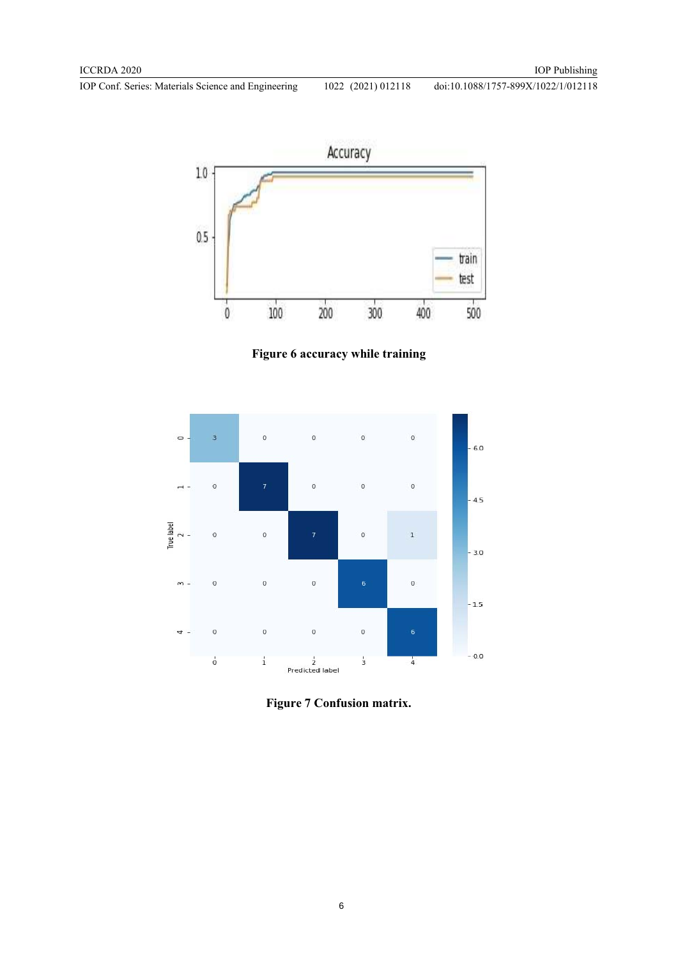

**Figure 6 accuracy while training** 



**Figure 7 Confusion matrix.**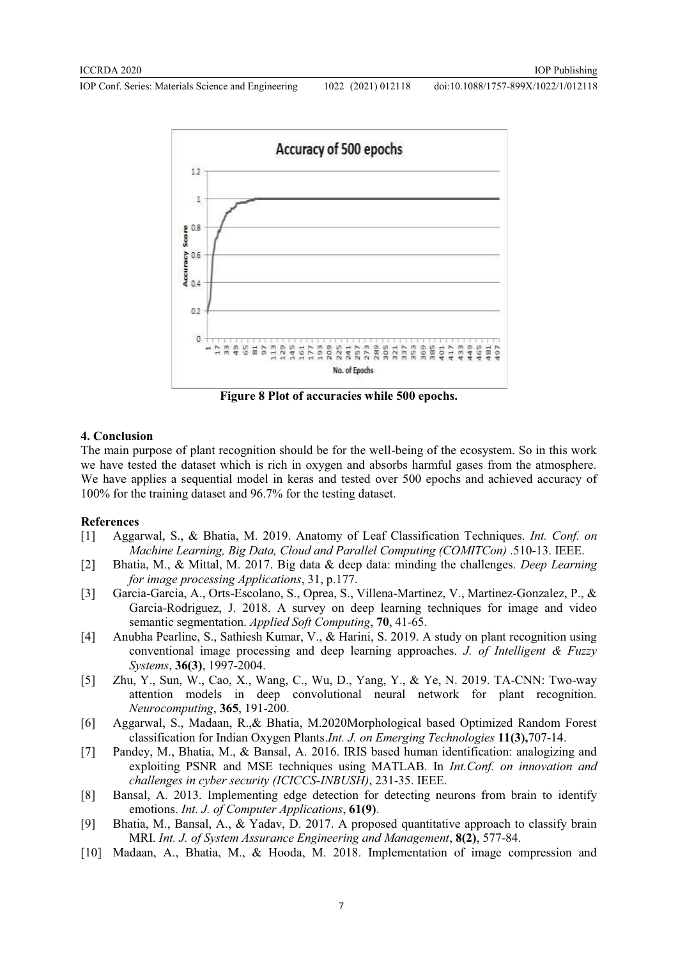doi:10.1088/1757-899X/1022/1/012118



**Figure 8 Plot of accuracies while 500 epochs.** 

### **4. Conclusion**

The main purpose of plant recognition should be for the well-being of the ecosystem. So in this work we have tested the dataset which is rich in oxygen and absorbs harmful gases from the atmosphere. We have applies a sequential model in keras and tested over 500 epochs and achieved accuracy of 100% for the training dataset and 96.7% for the testing dataset.

#### **References**

- [1] Aggarwal, S., & Bhatia, M. 2019. Anatomy of Leaf Classification Techniques. *Int. Conf. on Machine Learning, Big Data, Cloud and Parallel Computing (COMITCon)* .510-13. IEEE.
- [2] Bhatia, M., & Mittal, M. 2017. Big data & deep data: minding the challenges. *Deep Learning for image processing Applications*, 31, p.177.
- [3] Garcia-Garcia, A., Orts-Escolano, S., Oprea, S., Villena-Martinez, V., Martinez-Gonzalez, P., & Garcia-Rodriguez, J. 2018. A survey on deep learning techniques for image and video semantic segmentation. *Applied Soft Computing*, **70**, 41-65.
- [4] Anubha Pearline, S., Sathiesh Kumar, V., & Harini, S. 2019. A study on plant recognition using conventional image processing and deep learning approaches. *J. of Intelligent & Fuzzy Systems*, **36(3)**, 1997-2004.
- [5] Zhu, Y., Sun, W., Cao, X., Wang, C., Wu, D., Yang, Y., & Ye, N. 2019. TA-CNN: Two-way attention models in deep convolutional neural network for plant recognition. *Neurocomputing*, **365**, 191-200.
- [6] Aggarwal, S., Madaan, R.,& Bhatia, M.2020Morphological based Optimized Random Forest classification for Indian Oxygen Plants.*Int. J. on Emerging Technologies* **11(3),**707-14.
- [7] Pandey, M., Bhatia, M., & Bansal, A. 2016. IRIS based human identification: analogizing and exploiting PSNR and MSE techniques using MATLAB. In *Int.Conf. on innovation and challenges in cyber security (ICICCS-INBUSH)*, 231-35. IEEE.
- [8] Bansal, A. 2013. Implementing edge detection for detecting neurons from brain to identify emotions. *Int. J. of Computer Applications*, **61(9)**.
- [9] Bhatia, M., Bansal, A., & Yadav, D. 2017. A proposed quantitative approach to classify brain MRI. *Int. J. of System Assurance Engineering and Management*, **8(2)**, 577-84.
- [10] Madaan, A., Bhatia, M., & Hooda, M. 2018. Implementation of image compression and